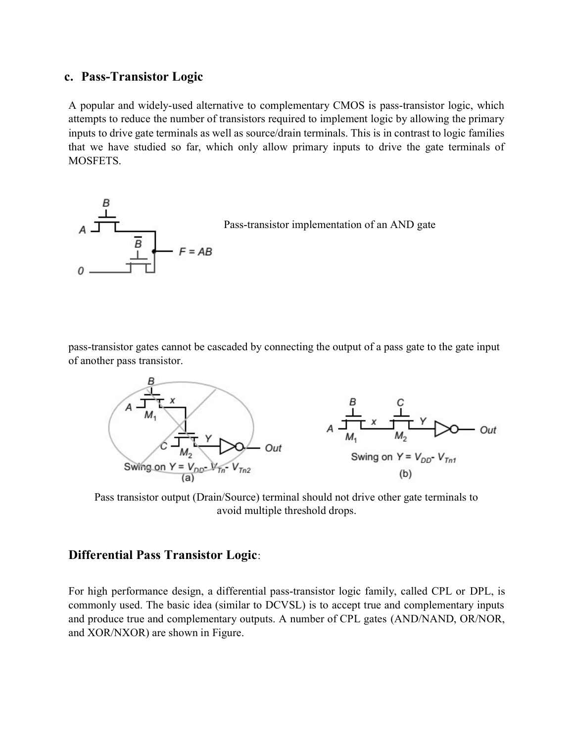## c. Pass-Transistor Logic

A popular and widely-used alternative to complementary CMOS is pass-transistor logic, which attempts to reduce the number of transistors required to implement logic by allowing the primary inputs to drive gate terminals as well as source/drain terminals. This is in contrast to logic families that we have studied so far, which only allow primary inputs to drive the gate terminals of MOSFETS.



pass-transistor gates cannot be cascaded by connecting the output of a pass gate to the gate input of another pass transistor.



Pass transistor output (Drain/Source) terminal should not drive other gate terminals to avoid multiple threshold drops.

## Differential Pass Transistor Logic:

For high performance design, a differential pass-transistor logic family, called CPL or DPL, is commonly used. The basic idea (similar to DCVSL) is to accept true and complementary inputs and produce true and complementary outputs. A number of CPL gates (AND/NAND, OR/NOR, and XOR/NXOR) are shown in Figure.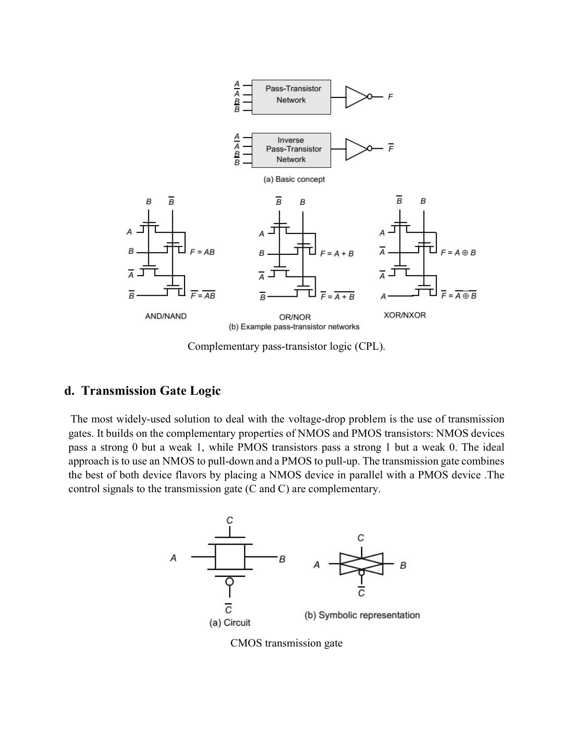

Complementary pass-transistor logic (CPL).

## d. Transmission Gate Logic

The most widely-used solution to deal with the voltage-drop problem is the use of transmission gates. It builds on the complementary properties of NMOS and PMOS transistors: NMOS devices pass a strong 0 but a weak 1, while PMOS transistors pass a strong 1 but a weak 0. The ideal approach is to use an NMOS to pull-down and a PMOS to pull-up. The transmission gate combines the best of both device flavors by placing a NMOS device in parallel with a PMOS device .The control signals to the transmission gate (C and C) are complementary.



CMOS transmission gate